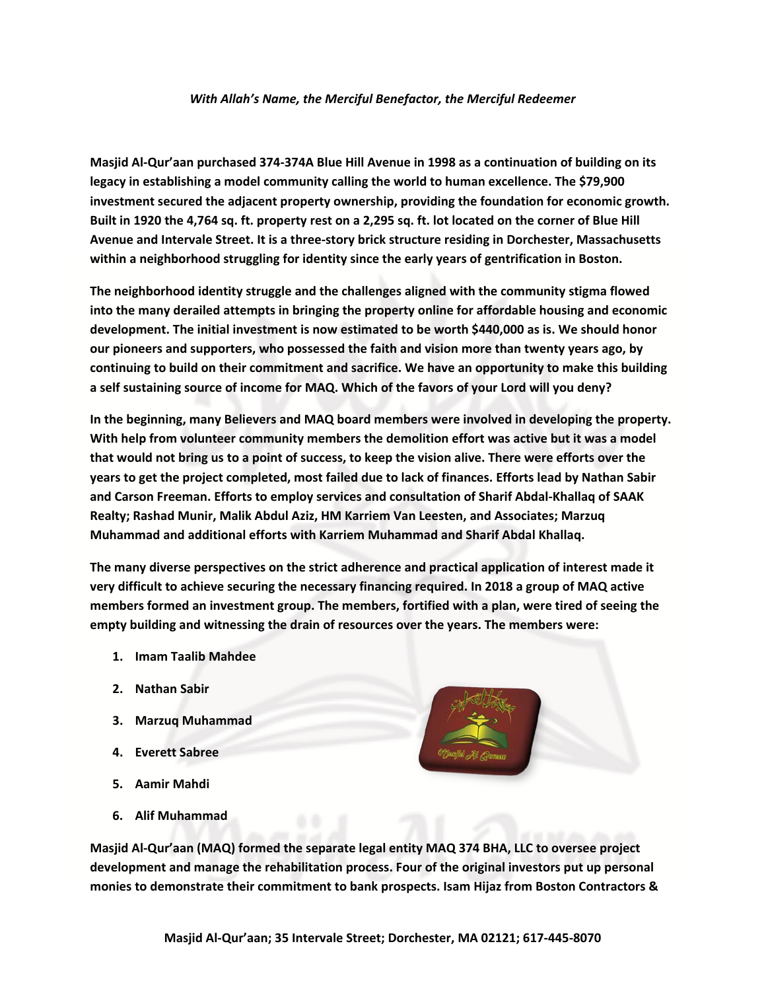## *With Allah's Name, the Merciful Benefactor, the Merciful Redeemer*

**Masjid Al-Qur'aan purchased 374-374A Blue Hill Avenue in 1998 as a continuation of building on its legacy in establishing a model community calling the world to human excellence. The \$79,900 investment secured the adjacent property ownership, providing the foundation for economic growth. Built in 1920 the 4,764 sq. ft. property rest on a 2,295 sq. ft. lot located on the corner of Blue Hill Avenue and Intervale Street. It is a three-story brick structure residing in Dorchester, Massachusetts within a neighborhood struggling for identity since the early years of gentrification in Boston.**

**The neighborhood identity struggle and the challenges aligned with the community stigma flowed into the many derailed attempts in bringing the property online for affordable housing and economic development. The initial investment is now estimated to be worth \$440,000 as is. We should honor our pioneers and supporters, who possessed the faith and vision more than twenty years ago, by continuing to build on their commitment and sacrifice. We have an opportunity to make this building a self sustaining source of income for MAQ. Which of the favors of your Lord will you deny?**

**In the beginning, many Believers and MAQ board members were involved in developing the property. With help from volunteer community members the demolition effort was active but it was a model that would not bring us to a point of success, to keep the vision alive. There were efforts over the years to get the project completed, most failed due to lack of finances. Efforts lead by Nathan Sabir and Carson Freeman. Efforts to employ services and consultation of Sharif Abdal-Khallaq of SAAK Realty; Rashad Munir, Malik Abdul Aziz, HM Karriem Van Leesten, and Associates; Marzuq Muhammad and additional efforts with Karriem Muhammad and Sharif Abdal Khallaq.** 

**The many diverse perspectives on the strict adherence and practical application of interest made it very difficult to achieve securing the necessary financing required. In 2018 a group of MAQ active members formed an investment group. The members, fortified with a plan, were tired of seeing the empty building and witnessing the drain of resources over the years. The members were:**

- **1. Imam Taalib Mahdee**
- **2. Nathan Sabir**
- **3. Marzuq Muhammad**
- **4. Everett Sabree**
- **5. Aamir Mahdi**
- **6. Alif Muhammad**



**Masjid Al-Qur'aan (MAQ) formed the separate legal entity MAQ 374 BHA, LLC to oversee project development and manage the rehabilitation process. Four of the original investors put up personal monies to demonstrate their commitment to bank prospects. Isam Hijaz from Boston Contractors &**